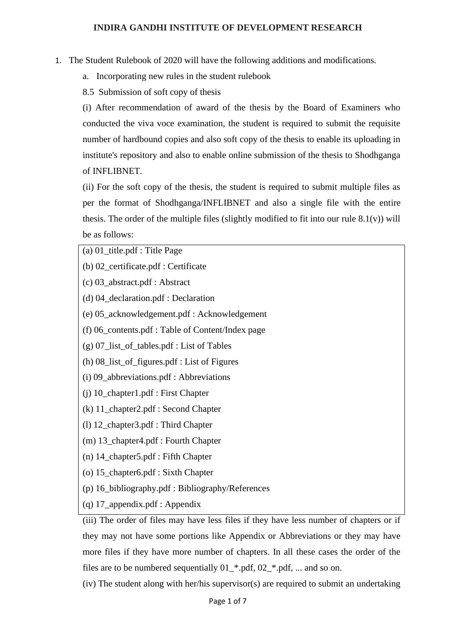#### **INDIRA GANDHI INSTITUTE OF DEVELOPMENT RESEARCH**

- 1. The Student Rulebook of 2020 will have the following additions and modifications.
	- a. Incorporating new rules in the student rulebook
	- 8.5 Submission of soft copy of thesis

(i) After recommendation of award of the thesis by the Board of Examiners who conducted the viva voce examination, the student is required to submit the requisite number of hardbound copies and also soft copy of the thesis to enable its uploading in institute's repository and also to enable online submission of the thesis to Shodhganga of INFLIBNET.

(ii) For the soft copy of the thesis, the student is required to submit multiple files as per the format of Shodhganga/INFLIBNET and also a single file with the entire thesis. The order of the multiple files (slightly modified to fit into our rule  $8.1(v)$ ) will be as follows:

- (a) 01\_title.pdf : Title Page
- (b) 02\_certificate.pdf : Certificate
- (c) 03\_abstract.pdf : Abstract
- (d) 04\_declaration.pdf : Declaration
- (e) 05\_acknowledgement.pdf : Acknowledgement
- (f) 06\_contents.pdf : Table of Content/Index page
- (g) 07\_list\_of\_tables.pdf : List of Tables
- (h) 08\_list\_of\_figures.pdf : List of Figures
- (i) 09\_abbreviations.pdf : Abbreviations
- (j) 10\_chapter1.pdf : First Chapter
- (k) 11\_chapter2.pdf : Second Chapter
- (l) 12\_chapter3.pdf : Third Chapter
- (m) 13\_chapter4.pdf : Fourth Chapter
- (n) 14\_chapter5.pdf : Fifth Chapter
- (o) 15\_chapter6.pdf : Sixth Chapter
- (p) 16\_bibliography.pdf : Bibliography/References
- (q) 17\_appendix.pdf : Appendix

(iii) The order of files may have less files if they have less number of chapters or if they may not have some portions like Appendix or Abbreviations or they may have more files if they have more number of chapters. In all these cases the order of the files are to be numbered sequentially 01\_\*.pdf, 02\_\*.pdf, ... and so on.

(iv) The student along with her/his supervisor(s) are required to submit an undertaking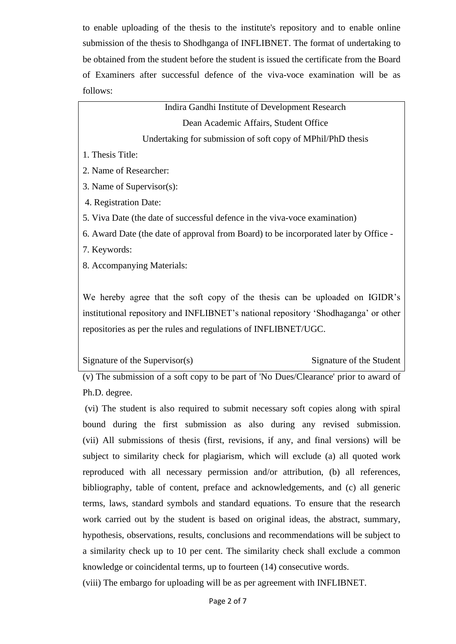to enable uploading of the thesis to the institute's repository and to enable online submission of the thesis to Shodhganga of INFLIBNET. The format of undertaking to be obtained from the student before the student is issued the certificate from the Board of Examiners after successful defence of the viva-voce examination will be as follows:

> Indira Gandhi Institute of Development Research Dean Academic Affairs, Student Office Undertaking for submission of soft copy of MPhil/PhD thesis

- 1. Thesis Title:
- 2. Name of Researcher:
- 3. Name of Supervisor(s):
- 4. Registration Date:
- 5. Viva Date (the date of successful defence in the viva-voce examination)
- 6. Award Date (the date of approval from Board) to be incorporated later by Office -
- 7. Keywords:
- 8. Accompanying Materials:

We hereby agree that the soft copy of the thesis can be uploaded on IGIDR's institutional repository and INFLIBNET's national repository 'Shodhaganga' or other repositories as per the rules and regulations of INFLIBNET/UGC.

Signature of the Supervisor(s) Signature of the Student

(v) The submission of a soft copy to be part of 'No Dues/Clearance' prior to award of Ph.D. degree.

(vi) The student is also required to submit necessary soft copies along with spiral bound during the first submission as also during any revised submission. (vii) All submissions of thesis (first, revisions, if any, and final versions) will be subject to similarity check for plagiarism, which will exclude (a) all quoted work reproduced with all necessary permission and/or attribution, (b) all references, bibliography, table of content, preface and acknowledgements, and (c) all generic terms, laws, standard symbols and standard equations. To ensure that the research work carried out by the student is based on original ideas, the abstract, summary, hypothesis, observations, results, conclusions and recommendations will be subject to a similarity check up to 10 per cent. The similarity check shall exclude a common knowledge or coincidental terms, up to fourteen (14) consecutive words.

(viii) The embargo for uploading will be as per agreement with INFLIBNET.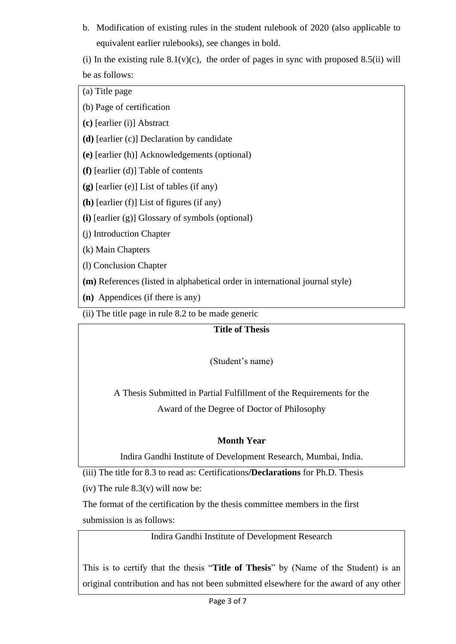b. Modification of existing rules in the student rulebook of 2020 (also applicable to equivalent earlier rulebooks), see changes in bold.

(i) In the existing rule  $8.1(v)(c)$ , the order of pages in sync with proposed  $8.5(ii)$  will be as follows:

(a) Title page

(b) Page of certification

**(c)** [earlier (i)] Abstract

**(d)** [earlier (c)] Declaration by candidate

**(e)** [earlier (h)] Acknowledgements (optional)

**(f)** [earlier (d)] Table of contents

**(g)** [earlier (e)] List of tables (if any)

**(h)** [earlier (f)] List of figures (if any)

**(i)** [earlier (g)] Glossary of symbols (optional)

(j) Introduction Chapter

(k) Main Chapters

(l) Conclusion Chapter

**(m)** References (listed in alphabetical order in international journal style)

**(n)** Appendices (if there is any)

(ii) The title page in rule 8.2 to be made generic

## **Title of Thesis**

(Student's name)

A Thesis Submitted in Partial Fulfillment of the Requirements for the Award of the Degree of Doctor of Philosophy

## **Month Year**

Indira Gandhi Institute of Development Research, Mumbai, India.

(iii) The title for 8.3 to read as: Certifications**/Declarations** for Ph.D. Thesis

(iv) The rule  $8.3(v)$  will now be:

The format of the certification by the thesis committee members in the first submission is as follows:

Indira Gandhi Institute of Development Research

This is to certify that the thesis "**Title of Thesis**" by (Name of the Student) is an original contribution and has not been submitted elsewhere for the award of any other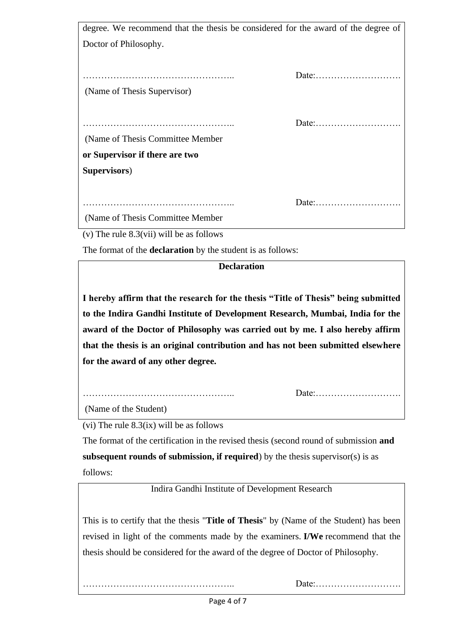| degree. We recommend that the thesis be considered for the award of the degree of |       |
|-----------------------------------------------------------------------------------|-------|
| Doctor of Philosophy.                                                             |       |
|                                                                                   |       |
|                                                                                   |       |
|                                                                                   | Date: |
| (Name of Thesis Supervisor)                                                       |       |
|                                                                                   |       |
|                                                                                   | Date: |
| (Name of Thesis Committee Member)                                                 |       |
| or Supervisor if there are two                                                    |       |
| Supervisors)                                                                      |       |
|                                                                                   |       |
|                                                                                   | Date: |
| (Name of Thesis Committee Member)                                                 |       |

(v) The rule 8.3(vii) will be as follows

The format of the **declaration** by the student is as follows:

# **Declaration**

**I hereby affirm that the research for the thesis "Title of Thesis" being submitted to the Indira Gandhi Institute of Development Research, Mumbai, India for the award of the Doctor of Philosophy was carried out by me. I also hereby affirm that the thesis is an original contribution and has not been submitted elsewhere for the award of any other degree.**

Date:……………………….

(Name of the Student)

(vi) The rule  $8.3(ix)$  will be as follows

………………………………………………

The format of the certification in the revised thesis (second round of submission **and subsequent rounds of submission, if required**) by the thesis supervisor(s) is as follows:

Indira Gandhi Institute of Development Research

This is to certify that the thesis "**Title of Thesis**" by (Name of the Student) has been revised in light of the comments made by the examiners. **I/We** recommend that the thesis should be considered for the award of the degree of Doctor of Philosophy.

………………………………………….. Date:……………………….